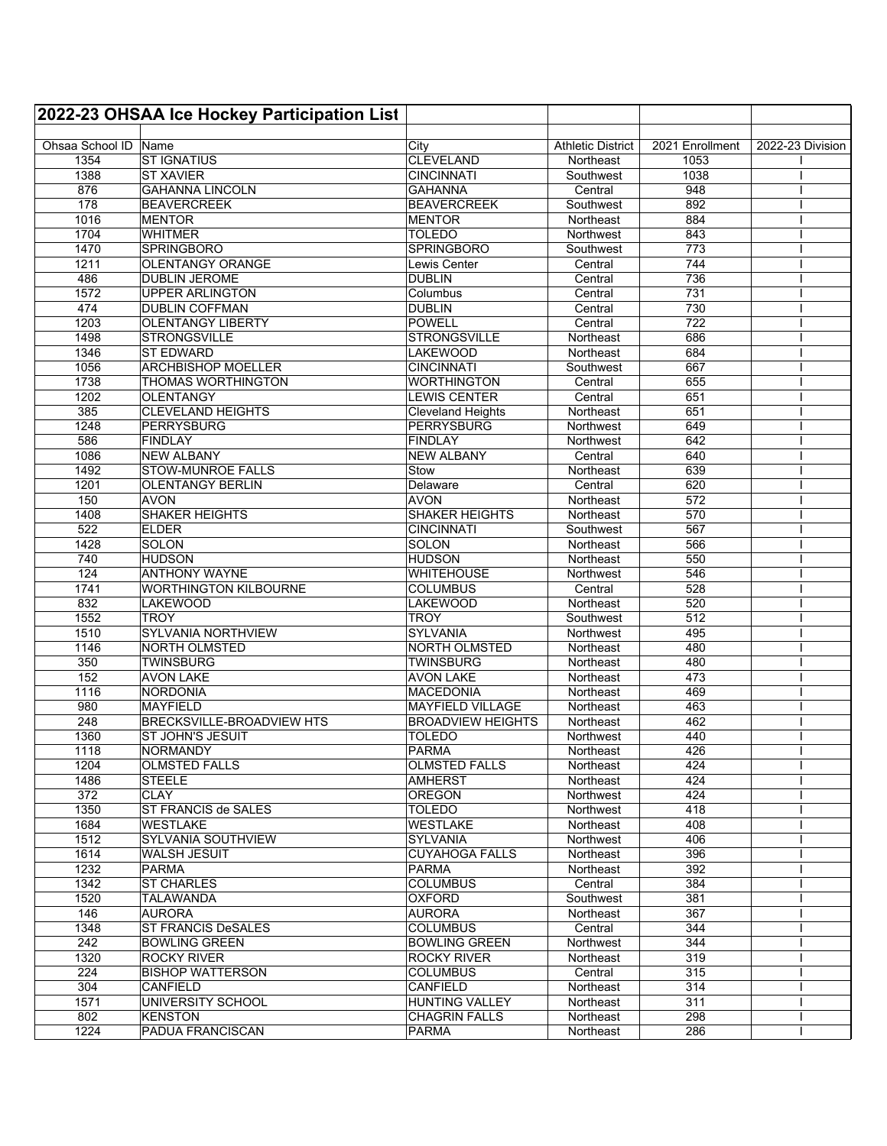|                      | 2022-23 OHSAA Ice Hockey Participation List         |                          |                          |                 |                  |
|----------------------|-----------------------------------------------------|--------------------------|--------------------------|-----------------|------------------|
|                      |                                                     |                          |                          |                 |                  |
| Ohsaa School ID Name |                                                     | City                     | <b>Athletic District</b> | 2021 Enrollment | 2022-23 Division |
| 1354                 | <b>ST IGNATIUS</b>                                  | <b>CLEVELAND</b>         | Northeast                | 1053            |                  |
| 1388                 | <b>ST XAVIER</b>                                    | <b>CINCINNATI</b>        | Southwest                | 1038            |                  |
| 876                  | <b>GAHANNA LINCOLN</b>                              | <b>GAHANNA</b>           | Central                  | 948             |                  |
| 178                  | <b>BEAVERCREEK</b>                                  | <b>BEAVERCREEK</b>       | Southwest                | 892             |                  |
| 1016                 | <b>MENTOR</b>                                       | <b>MENTOR</b>            | Northeast                | 884             |                  |
| 1704                 | <b>WHITMER</b>                                      | <b>TOLEDO</b>            | Northwest                | 843             |                  |
| 1470                 | <b>SPRINGBORO</b>                                   | <b>SPRINGBORO</b>        | Southwest                | 773             |                  |
| 1211                 | <b>OLENTANGY ORANGE</b>                             | Lewis Center             | Central                  | 744             |                  |
| 486                  | <b>DUBLIN JEROME</b>                                | <b>DUBLIN</b>            | Central                  | 736             |                  |
| 1572                 | <b>UPPER ARLINGTON</b>                              | Columbus                 | Central                  | 731             |                  |
| 474                  | <b>DUBLIN COFFMAN</b>                               | <b>DUBLIN</b>            | Central                  | 730             |                  |
| 1203                 | <b>OLENTANGY LIBERTY</b>                            | <b>POWELL</b>            | Central                  | 722             |                  |
| 1498                 | <b>STRONGSVILLE</b>                                 | <b>STRONGSVILLE</b>      | Northeast                | 686             |                  |
| 1346                 | <b>ST EDWARD</b>                                    | <b>LAKEWOOD</b>          | Northeast                | 684             |                  |
| 1056                 | <b>ARCHBISHOP MOELLER</b>                           | <b>CINCINNATI</b>        | Southwest                | 667             |                  |
| 1738                 | <b>THOMAS WORTHINGTON</b>                           | <b>WORTHINGTON</b>       | Central                  | 655             |                  |
| 1202                 | <b>OLENTANGY</b>                                    | <b>LEWIS CENTER</b>      | Central                  | 651             |                  |
| 385                  | <b>CLEVELAND HEIGHTS</b>                            | <b>Cleveland Heights</b> | Northeast                | 651             |                  |
| 1248                 | PERRYSBURG                                          | <b>PERRYSBURG</b>        | Northwest                | 649             |                  |
| 586                  | FINDLAY                                             | <b>FINDLAY</b>           | Northwest                | 642             |                  |
| 1086                 | <b>NEW ALBANY</b>                                   | <b>NEW ALBANY</b>        | Central<br>Northeast     | 640             |                  |
| 1492<br>1201         | <b>STOW-MUNROE FALLS</b><br><b>OLENTANGY BERLIN</b> | Stow                     | Central                  | 639<br>620      |                  |
| 150                  | <b>AVON</b>                                         | Delaware<br><b>AVON</b>  | Northeast                | 572             |                  |
| 1408                 | <b>SHAKER HEIGHTS</b>                               | <b>SHAKER HEIGHTS</b>    |                          | 570             |                  |
| 522                  | <b>ELDER</b>                                        | <b>CINCINNATI</b>        | Northeast<br>Southwest   | 567             |                  |
| 1428                 | SOLON                                               | SOLON                    | Northeast                | 566             |                  |
| 740                  | <b>HUDSON</b>                                       | <b>HUDSON</b>            | Northeast                | 550             |                  |
| 124                  | <b>ANTHONY WAYNE</b>                                | <b>WHITEHOUSE</b>        | Northwest                | 546             |                  |
| 1741                 | <b>WORTHINGTON KILBOURNE</b>                        | <b>COLUMBUS</b>          | Central                  | 528             |                  |
| 832                  | <b>LAKEWOOD</b>                                     | <b>LAKEWOOD</b>          | Northeast                | 520             |                  |
| 1552                 | <b>TROY</b>                                         | <b>TROY</b>              | Southwest                | 512             |                  |
| 1510                 | SYLVANIA NORTHVIEW                                  | SYLVANIA                 | Northwest                | 495             |                  |
| 1146                 | <b>NORTH OLMSTED</b>                                | NORTH OLMSTED            | Northeast                | 480             |                  |
| 350                  | <b>TWINSBURG</b>                                    | <b>TWINSBURG</b>         | Northeast                | 480             |                  |
| 152                  | <b>AVON LAKE</b>                                    | <b>AVON LAKE</b>         | Northeast                | 473             |                  |
| 1116                 | <b>NORDONIA</b>                                     | <b>MACEDONIA</b>         | Northeast                | 469             |                  |
| 980                  | <b>MAYFIELD</b>                                     | <b>MAYFIELD VILLAGE</b>  | Northeast                | 463             |                  |
| 248                  | BRECKSVILLE-BROADVIEW HTS                           | <b>BROADVIEW HEIGHTS</b> | Northeast                | 462             |                  |
| 1360                 | <b>ST JOHN'S JESUIT</b>                             | <b>TOLEDO</b>            | <b>Northwest</b>         | 440             |                  |
| 1118                 | <b>NORMANDY</b>                                     | <b>PARMA</b>             | Northeast                | 426             |                  |
| 1204                 | <b>OLMSTED FALLS</b>                                | <b>OLMSTED FALLS</b>     | Northeast                | 424             |                  |
| 1486                 | <b>STEELE</b>                                       | <b>AMHERST</b>           | Northeast                | 424             |                  |
| 372                  | <b>CLAY</b>                                         | <b>OREGON</b>            | Northwest                | 424             |                  |
| 1350                 | <b>ST FRANCIS de SALES</b>                          | <b>TOLEDO</b>            | Northwest                | 418             |                  |
| 1684                 | <b>WESTLAKE</b>                                     | <b>WESTLAKE</b>          | Northeast                | 408             |                  |
| 1512                 | <b>SYLVANIA SOUTHVIEW</b>                           | <b>SYLVANIA</b>          | Northwest                | 406             |                  |
| 1614                 | <b>WALSH JESUIT</b>                                 | <b>CUYAHOGA FALLS</b>    | Northeast                | 396             |                  |
| 1232                 | <b>PARMA</b>                                        | PARMA                    | Northeast                | 392             |                  |
| 1342                 | <b>ST CHARLES</b>                                   | <b>COLUMBUS</b>          | Central                  | 384             |                  |
| 1520                 | <b>TALAWANDA</b>                                    | <b>OXFORD</b>            | Southwest                | 381             |                  |
| 146                  | <b>AURORA</b>                                       | AURORA                   | Northeast                | 367             |                  |
| 1348                 | <b>ST FRANCIS DeSALES</b>                           | <b>COLUMBUS</b>          | Central                  | 344             |                  |
| 242                  | <b>BOWLING GREEN</b>                                | <b>BOWLING GREEN</b>     | Northwest                | 344             |                  |
| 1320                 | <b>ROCKY RIVER</b>                                  | <b>ROCKY RIVER</b>       | Northeast                | 319             |                  |
| 224                  | <b>BISHOP WATTERSON</b>                             | <b>COLUMBUS</b>          | Central                  | 315             |                  |
| 304                  | <b>CANFIELD</b>                                     | CANFIELD                 | Northeast                | 314             |                  |
| 1571                 | UNIVERSITY SCHOOL                                   | <b>HUNTING VALLEY</b>    | Northeast                | 311             |                  |
| 802                  | <b>KENSTON</b>                                      | <b>CHAGRIN FALLS</b>     | Northeast                | 298             |                  |
| 1224                 | PADUA FRANCISCAN                                    | <b>PARMA</b>             | Northeast                | 286             |                  |